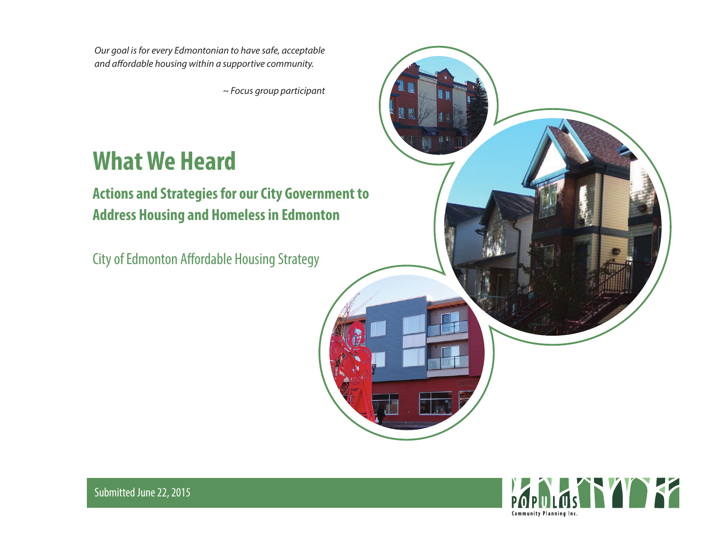*Our goal is for every Edmontonian to have safe, acceptable*  and affordable housing within a supportive community.

*~ Focus group participant* 

# **What We Heard**

# **Actions and Strategies for our City Government to Address Housing and Homeless in Edmonton**

City of Edmonton Affordable Housing Strategy





Submitted June 22, 2015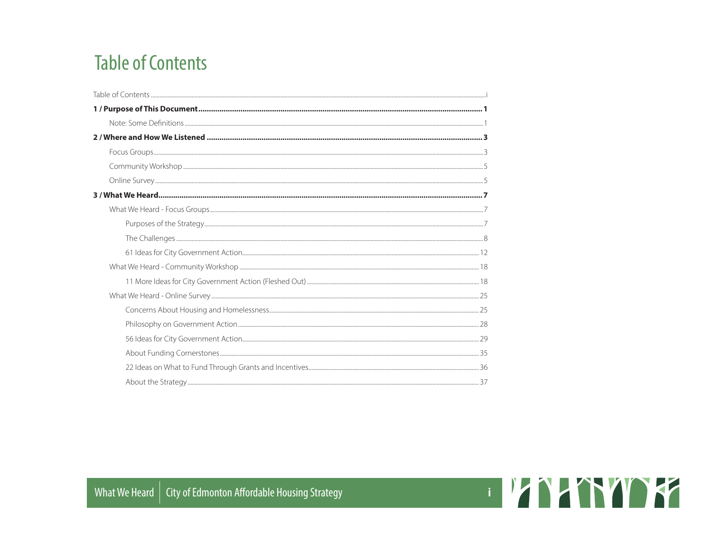# **Table of Contents**

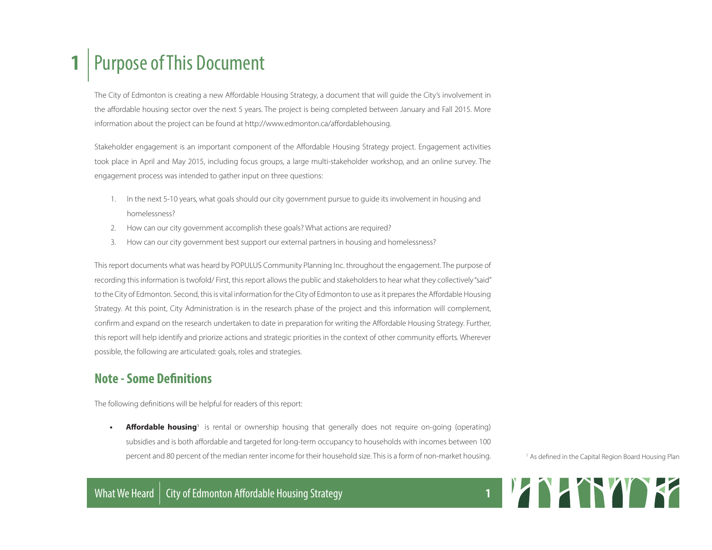# **1** Purpose of This Document

The City of Edmonton is creating a new Affordable Housing Strategy, a document that will guide the City's involvement in the affordable housing sector over the next 5 years. The project is being completed between January and Fall 2015. More information about the project can be found at http://www.edmonton.ca/affordablehousing.

Stakeholder engagement is an important component of the Affordable Housing Strategy project. Engagement activities took place in April and May 2015, including focus groups, a large multi-stakeholder workshop, and an online survey. The engagement process was intended to gather input on three questions:

- 1. In the next 5-10 years, what goals should our city government pursue to guide its involvement in housing and homelessness?
- 2. How can our city government accomplish these goals? What actions are required?
- 3. How can our city government best support our external partners in housing and homelessness?

This report documents what was heard by POPULUS Community Planning Inc. throughout the engagement. The purpose of recording this information is twofold/ First, this report allows the public and stakeholders to hear what they collectively "said" to the City of Edmonton. Second, this is vital information for the City of Edmonton to use as it prepares the Affordable Housing Strategy. At this point, City Administration is in the research phase of the project and this information will complement, confirm and expand on the research undertaken to date in preparation for writing the Affordable Housing Strategy. Further, this report will help identify and priorize actions and strategic priorities in the context of other community efforts. Wherever possible, the following are articulated: goals, roles and strategies.

## **Note - Some Definitions**

The following definitions will be helpful for readers of this report:

• **Affordable housing**<sup>1</sup> is rental or ownership housing that generally does not require on-going (operating) subsidies and is both affordable and targeted for long-term occupancy to households with incomes between 100 percent and 80 percent of the median renter income for their household size. This is a form of non-market housing.

<sup>1</sup> As defined in the Capital Region Board Housing Plan

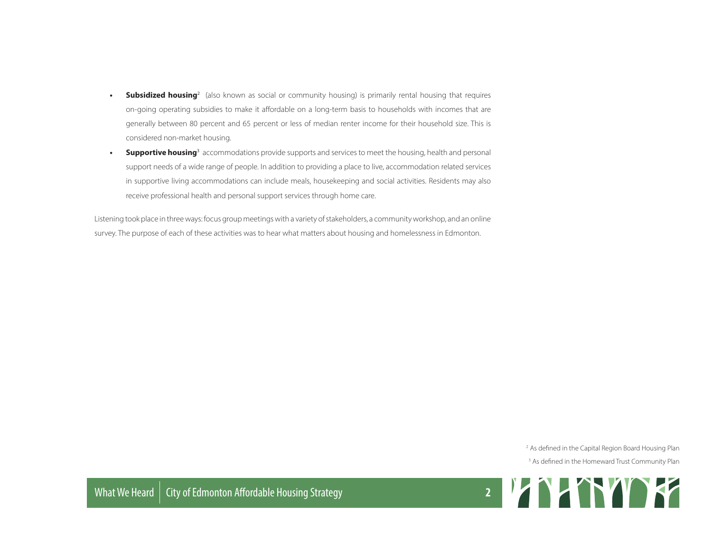- **Subsidized housing**<sup>2</sup> (also known as social or community housing) is primarily rental housing that requires on-going operating subsidies to make it affordable on a long-term basis to households with incomes that are generally between 80 percent and 65 percent or less of median renter income for their household size. This is considered non-market housing.
- **Supportive housing**<sup>3</sup> accommodations provide supports and services to meet the housing, health and personal support needs of a wide range of people. In addition to providing a place to live, accommodation related services in supportive living accommodations can include meals, housekeeping and social activities. Residents may also receive professional health and personal support services through home care.

Listening took place in three ways: focus group meetings with a variety of stakeholders, a community workshop, and an online survey. The purpose of each of these activities was to hear what matters about housing and homelessness in Edmonton.

2 As defined in the Capital Region Board Housing Plan

<sup>3</sup> As defined in the Homeward Trust Community Plan

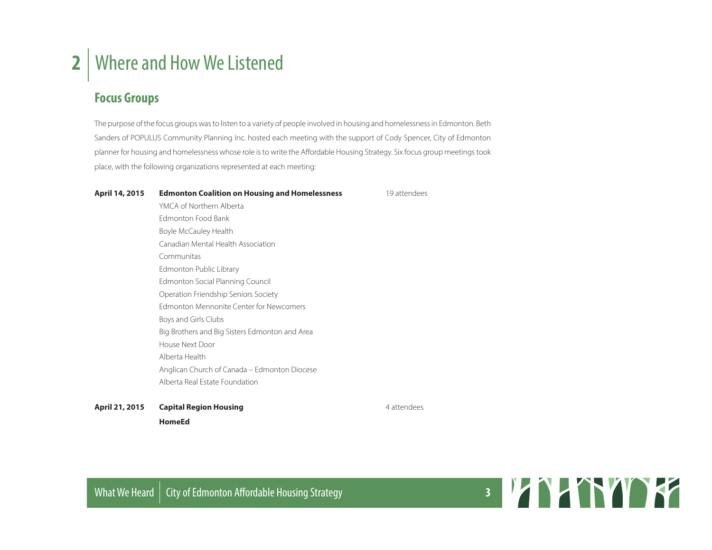# **2** Where and How We Listened

## **Focus Groups**

The purpose of the focus groups was to listen to a variety of people involved in housing and homelessness in Edmonton. Beth Sanders of POPULUS Community Planning Inc. hosted each meeting with the support of Cody Spencer, City of Edmonton planner for housing and homelessness whose role is to write the Affordable Housing Strategy. Six focus group meetings took place, with the following organizations represented at each meeting:

#### April 14, 2015 **Edmonton Coalition on Housing and Homelessness** 19 attendees

YMCA of Northern Alberta Edmonton Food Bank Boyle McCauley Health Canadian Mental Health Association Communitas Edmonton Public Library Edmonton Social Planning Council Operation Friendship Seniors Society Edmonton Mennonite Center for Newcomers Boys and Girls Clubs Big Brothers and Big Sisters Edmonton and Area House Next Door Alberta Health Anglican Church of Canada – Edmonton Diocese Alberta Real Estate Foundation

**April 21, 2015 • Capital Region Housing <b>April 21, 2015 •** 4 attendees **HomeEd**



What We Heard | City of Edmonton Affordable Housing Strategy **3 8 All Accounts 2008**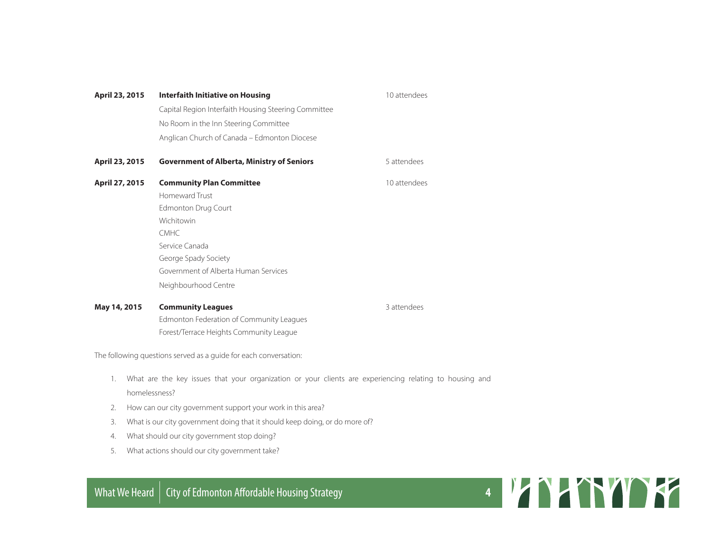| April 23, 2015 | Interfaith Initiative on Housing                     | 10 attendees |
|----------------|------------------------------------------------------|--------------|
|                | Capital Region Interfaith Housing Steering Committee |              |
|                | No Room in the Inn Steering Committee                |              |
|                | Anglican Church of Canada - Edmonton Diocese         |              |
| April 23, 2015 | <b>Government of Alberta, Ministry of Seniors</b>    | 5 attendees  |
| April 27, 2015 | <b>Community Plan Committee</b>                      | 10 attendees |
|                | Homeward Trust                                       |              |
|                | Edmonton Drug Court                                  |              |
|                | Wichitowin                                           |              |
|                | CMHC                                                 |              |
|                | Service Canada                                       |              |
|                | George Spady Society                                 |              |
|                | Government of Alberta Human Services                 |              |
|                | Neighbourhood Centre                                 |              |
| May 14, 2015   | <b>Community Leagues</b>                             | 3 attendees  |
|                | Edmonton Federation of Community Leagues             |              |

The following questions served as a guide for each conversation:

- 1. What are the key issues that your organization or your clients are experiencing relating to housing and homelessness?
- 2. How can our city government support your work in this area?

Forest/Terrace Heights Community League

- 3. What is our city government doing that it should keep doing, or do more of?
- 4. What should our city government stop doing?
- 5. What actions should our city government take?

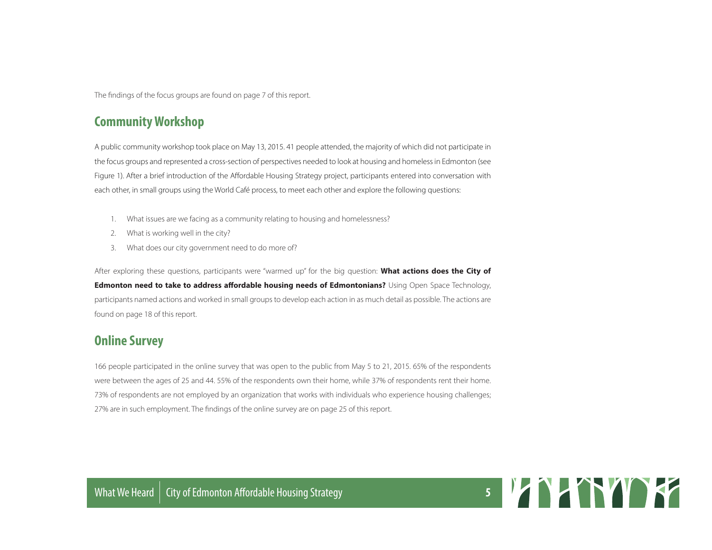The findings of the focus groups are found on page 7 of this report.

## **Community Workshop**

A public community workshop took place on May 13, 2015. 41 people attended, the majority of which did not participate in the focus groups and represented a cross-section of perspectives needed to look at housing and homeless in Edmonton (see Figure 1). After a brief introduction of the Affordable Housing Strategy project, participants entered into conversation with each other, in small groups using the World Café process, to meet each other and explore the following questions:

- 1. What issues are we facing as a community relating to housing and homelessness?
- 2. What is working well in the city?
- 3. What does our city government need to do more of?

After exploring these questions, participants were "warmed up" for the big question: **What actions does the City of Edmonton need to take to address affordable housing needs of Edmontonians?** Using Open Space Technology, participants named actions and worked in small groups to develop each action in as much detail as possible. The actions are found on page 18 of this report.

## **Online Survey**

166 people participated in the online survey that was open to the public from May 5 to 21, 2015. 65% of the respondents were between the ages of 25 and 44. 55% of the respondents own their home, while 37% of respondents rent their home. 73% of respondents are not employed by an organization that works with individuals who experience housing challenges; 27% are in such employment. The findings of the online survey are on page 25 of this report.

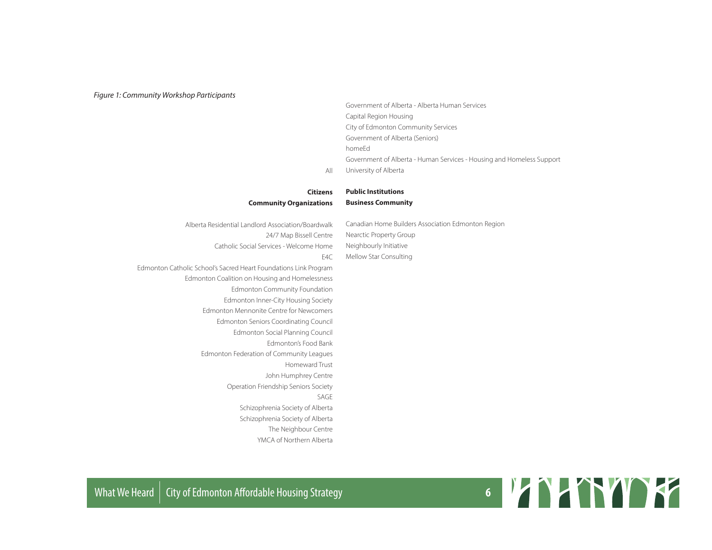#### *Figure 1: Community Workshop Participants*

Government of Alberta - Alberta Human Services Capital Region Housing City of Edmonton Community Services Government of Alberta (Seniors) homeEd Government of Alberta - Human Services - Housing and Homeless Support University of Alberta

#### **Citizens Community Organizations**

Alberta Residential Landlord Association/Boardwalk 24/7 Map Bissell Centre Catholic Social Services - Welcome Home  $FAC$ Canadian Home Builders Association Edmonton Region Nearctic Property Group Neighbourly Initiative Mellow Star Consulting

**Public Institutions Business Community**

All

Edmonton Catholic School's Sacred Heart Foundations Link Program Edmonton Coalition on Housing and Homelessness Edmonton Community Foundation Edmonton Inner-City Housing Society Edmonton Mennonite Centre for Newcomers Edmonton Seniors Coordinating Council Edmonton Social Planning Council Edmonton's Food Bank Edmonton Federation of Community Leagues Homeward Trust John Humphrey Centre Operation Friendship Seniors Society SAGE Schizophrenia Society of Alberta Schizophrenia Society of Alberta The Neighbour Centre YMCA of Northern Alberta

# What We Heard | City of Edmonton Affordable Housing Strategy **6 6 19 MM NO 19 MM NO 19 MM NO 19 MM NO 19 MM NO**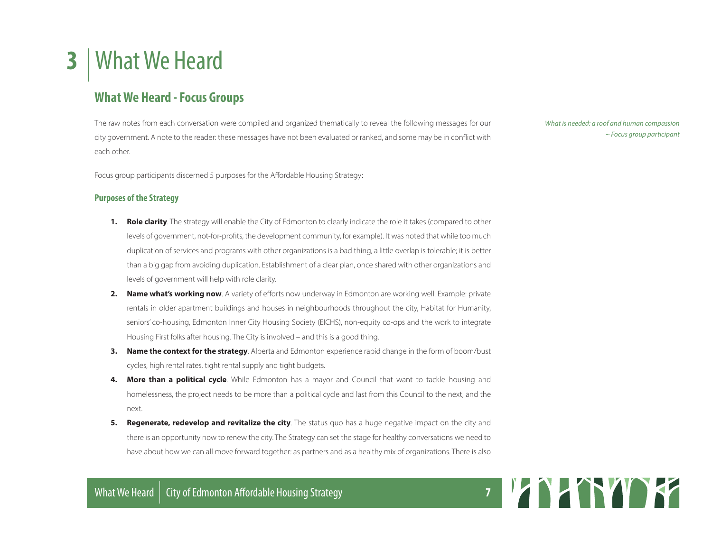# **3** | What We Heard

## **What We Heard - Focus Groups**

The raw notes from each conversation were compiled and organized thematically to reveal the following messages for our city government. A note to the reader: these messages have not been evaluated or ranked, and some may be in conflict with each other.

Focus group participants discerned 5 purposes for the Affordable Housing Strategy:

#### **Purposes of the Strategy**

- **1. Role clarity**. The strategy will enable the City of Edmonton to clearly indicate the role it takes (compared to other levels of government, not-for-profits, the development community, for example). It was noted that while too much duplication of services and programs with other organizations is a bad thing, a little overlap is tolerable; it is better than a big gap from avoiding duplication. Establishment of a clear plan, once shared with other organizations and levels of government will help with role clarity.
- **2. Name what's working now**. A variety of efforts now underway in Edmonton are working well. Example: private rentals in older apartment buildings and houses in neighbourhoods throughout the city, Habitat for Humanity, seniors' co-housing, Edmonton Inner City Housing Society (EICHS), non-equity co-ops and the work to integrate Housing First folks after housing. The City is involved – and this is a good thing.
- **3. Name the context for the strategy**. Alberta and Edmonton experience rapid change in the form of boom/bust cycles, high rental rates, tight rental supply and tight budgets.
- **4. More than a political cycle**. While Edmonton has a mayor and Council that want to tackle housing and homelessness, the project needs to be more than a political cycle and last from this Council to the next, and the next.
- **5. Regenerate, redevelop and revitalize the city**. The status quo has a huge negative impact on the city and there is an opportunity now to renew the city. The Strategy can set the stage for healthy conversations we need to have about how we can all move forward together: as partners and as a healthy mix of organizations. There is also

*What is needed: a roof and human compassion ~ Focus group participant*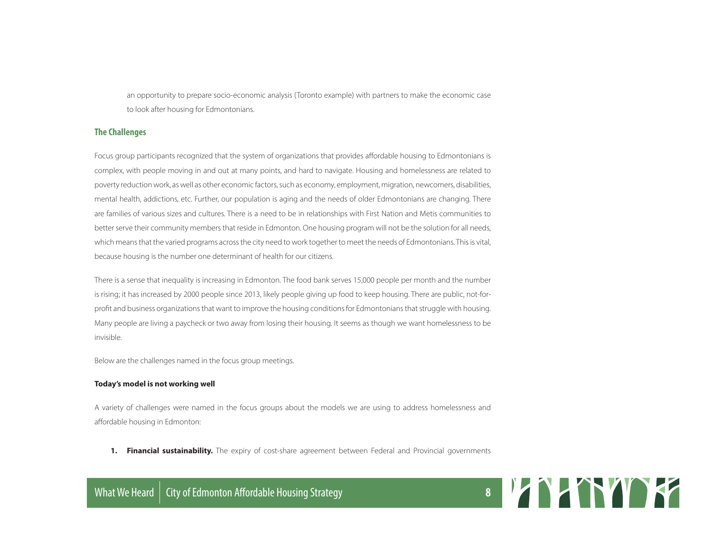an opportunity to prepare socio-economic analysis (Toronto example) with partners to make the economic case to look after housing for Edmontonians.

#### **The Challenges**

Focus group participants recognized that the system of organizations that provides affordable housing to Edmontonians is complex, with people moving in and out at many points, and hard to navigate. Housing and homelessness are related to poverty reduction work, as well as other economic factors, such as economy, employment, migration, newcomers, disabilities, mental health, addictions, etc. Further, our population is aging and the needs of older Edmontonians are changing. There are families of various sizes and cultures. There is a need to be in relationships with First Nation and Metis communities to better serve their community members that reside in Edmonton. One housing program will not be the solution for all needs, which means that the varied programs across the city need to work together to meet the needs of Edmontonians. This is vital, because housing is the number one determinant of health for our citizens.

There is a sense that inequality is increasing in Edmonton. The food bank serves 15,000 people per month and the number is rising; it has increased by 2000 people since 2013, likely people giving up food to keep housing. There are public, not-forprofit and business organizations that want to improve the housing conditions for Edmontonians that struggle with housing. Many people are living a paycheck or two away from losing their housing. It seems as though we want homelessness to be invisible.

Below are the challenges named in the focus group meetings.

#### **Today's model is not working well**

A variety of challenges were named in the focus groups about the models we are using to address homelessness and affordable housing in Edmonton:

**1. Financial sustainability.** The expiry of cost-share agreement between Federal and Provincial governments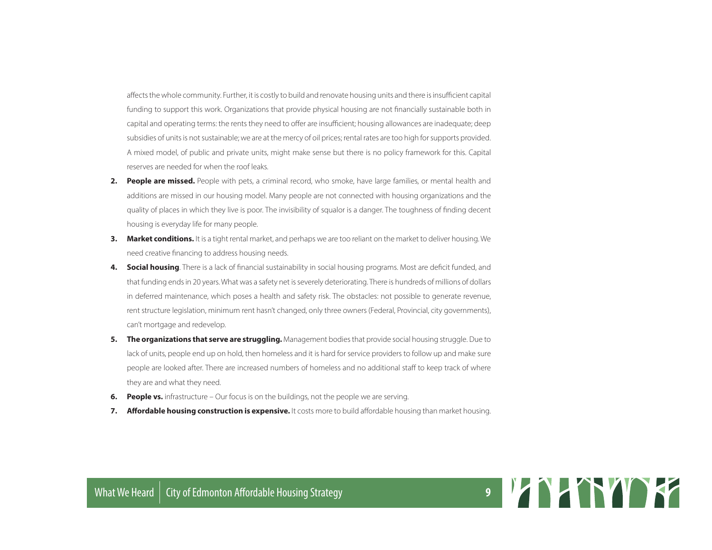affects the whole community. Further, it is costly to build and renovate housing units and there is insufficient capital funding to support this work. Organizations that provide physical housing are not financially sustainable both in capital and operating terms: the rents they need to offer are insufficient; housing allowances are inadequate; deep subsidies of units is not sustainable; we are at the mercy of oil prices; rental rates are too high for supports provided. A mixed model, of public and private units, might make sense but there is no policy framework for this. Capital reserves are needed for when the roof leaks.

- **2. People are missed.** People with pets, a criminal record, who smoke, have large families, or mental health and additions are missed in our housing model. Many people are not connected with housing organizations and the quality of places in which they live is poor. The invisibility of squalor is a danger. The toughness of finding decent housing is everyday life for many people.
- **3. Market conditions.** It is a tight rental market, and perhaps we are too reliant on the market to deliver housing. We need creative financing to address housing needs.
- **4. Social housing**. There is a lack of financial sustainability in social housing programs. Most are deficit funded, and that funding ends in 20 years. What was a safety net is severely deteriorating. There is hundreds of millions of dollars in deferred maintenance, which poses a health and safety risk. The obstacles: not possible to generate revenue, rent structure legislation, minimum rent hasn't changed, only three owners (Federal, Provincial, city governments), can't mortgage and redevelop.
- **5. The organizations that serve are struggling.** Management bodies that provide social housing struggle. Due to lack of units, people end up on hold, then homeless and it is hard for service providers to follow up and make sure people are looked after. There are increased numbers of homeless and no additional staff to keep track of where they are and what they need.
- **6. People vs.** infrastructure Our focus is on the buildings, not the people we are serving.
- **7. Affordable housing construction is expensive.** It costs more to build affordable housing than market housing.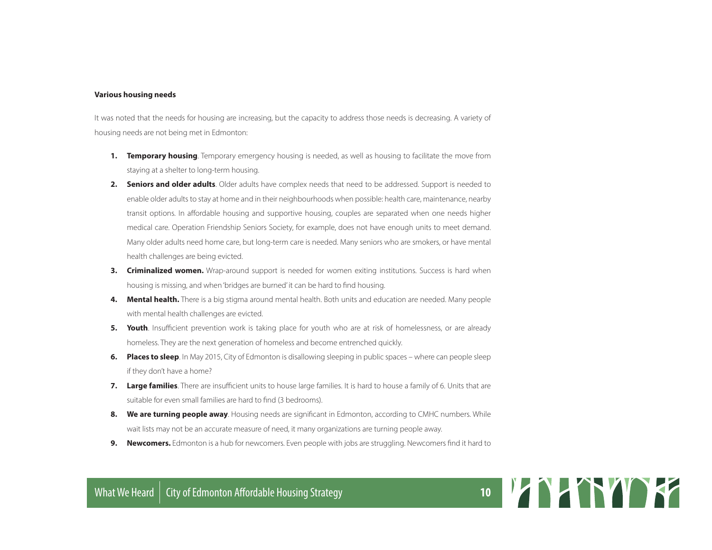#### **Various housing needs**

It was noted that the needs for housing are increasing, but the capacity to address those needs is decreasing. A variety of housing needs are not being met in Edmonton:

- **1. Temporary housing**. Temporary emergency housing is needed, as well as housing to facilitate the move from staying at a shelter to long-term housing.
- **2. Seniors and older adults**. Older adults have complex needs that need to be addressed. Support is needed to enable older adults to stay at home and in their neighbourhoods when possible: health care, maintenance, nearby transit options. In affordable housing and supportive housing, couples are separated when one needs higher medical care. Operation Friendship Seniors Society, for example, does not have enough units to meet demand. Many older adults need home care, but long-term care is needed. Many seniors who are smokers, or have mental health challenges are being evicted.
- **3. Criminalized women.** Wrap-around support is needed for women exiting institutions. Success is hard when housing is missing, and when 'bridges are burned' it can be hard to find housing.
- **4. Mental health.** There is a big stigma around mental health. Both units and education are needed. Many people with mental health challenges are evicted.
- **5. Youth**. Insufficient prevention work is taking place for youth who are at risk of homelessness, or are already homeless. They are the next generation of homeless and become entrenched quickly.
- **6. Places to sleep**. In May 2015, City of Edmonton is disallowing sleeping in public spaces where can people sleep if they don't have a home?
- **7. Large families**. There are insufficient units to house large families. It is hard to house a family of 6. Units that are suitable for even small families are hard to find (3 bedrooms).
- **8. We are turning people away**. Housing needs are significant in Edmonton, according to CMHC numbers. While wait lists may not be an accurate measure of need, it many organizations are turning people away.
- **9. Newcomers.** Edmonton is a hub for newcomers. Even people with jobs are struggling. Newcomers find it hard to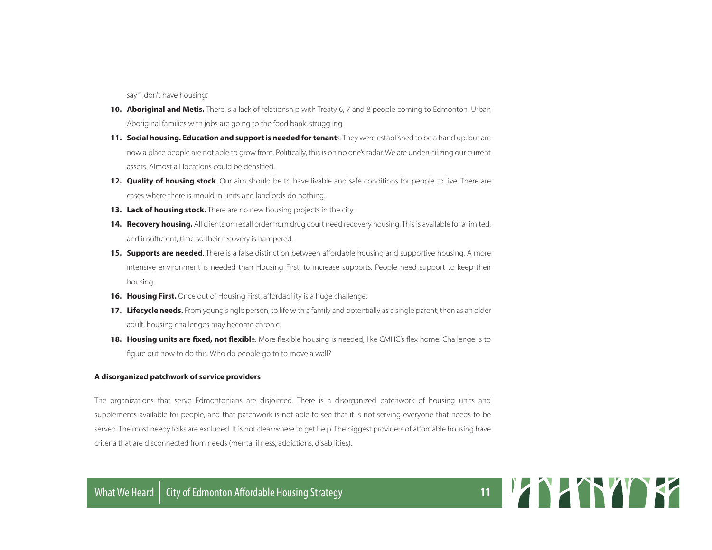say "I don't have housing."

- **10. Aboriginal and Metis.** There is a lack of relationship with Treaty 6, 7 and 8 people coming to Edmonton. Urban Aboriginal families with jobs are going to the food bank, struggling.
- **11. Social housing. Education and support is needed for tenant**s. They were established to be a hand up, but are now a place people are not able to grow from. Politically, this is on no one's radar. We are underutilizing our current assets. Almost all locations could be densified.
- **12. Quality of housing stock**. Our aim should be to have livable and safe conditions for people to live. There are cases where there is mould in units and landlords do nothing.
- **13. Lack of housing stock.** There are no new housing projects in the city.
- 14. Recovery housing. All clients on recall order from drug court need recovery housing. This is available for a limited, and insufficient, time so their recovery is hampered.
- **15. Supports are needed**. There is a false distinction between affordable housing and supportive housing. A more intensive environment is needed than Housing First, to increase supports. People need support to keep their housing.
- **16. Housing First.** Once out of Housing First, affordability is a huge challenge.
- 17. Lifecycle needs. From young single person, to life with a family and potentially as a single parent, then as an older adult, housing challenges may become chronic.
- **18. Housing units are fixed, not flexibl**e. More flexible housing is needed, like CMHC's flex home. Challenge is to figure out how to do this. Who do people go to to move a wall?

#### **A disorganized patchwork of service providers**

The organizations that serve Edmontonians are disjointed. There is a disorganized patchwork of housing units and supplements available for people, and that patchwork is not able to see that it is not serving everyone that needs to be served. The most needy folks are excluded. It is not clear where to get help. The biggest providers of affordable housing have criteria that are disconnected from needs (mental illness, addictions, disabilities).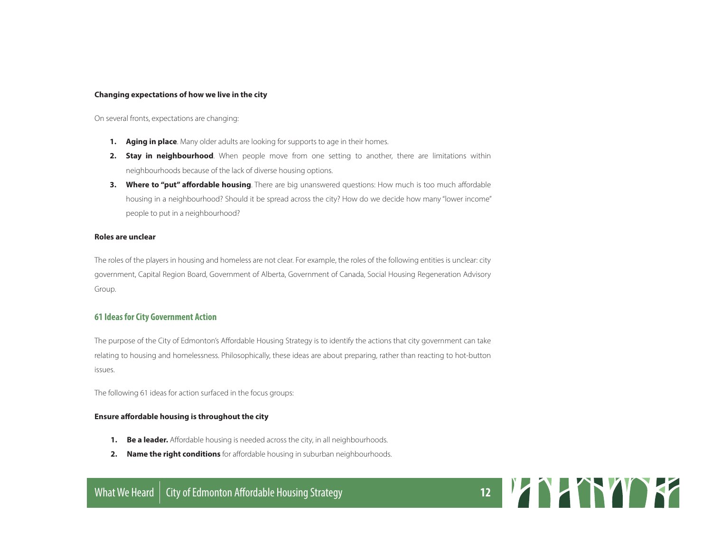#### **Changing expectations of how we live in the city**

On several fronts, expectations are changing:

- **1. Aging in place**. Many older adults are looking for supports to age in their homes.
- **2. Stay in neighbourhood**. When people move from one setting to another, there are limitations within neighbourhoods because of the lack of diverse housing options.
- **3. Where to "put" affordable housing**. There are big unanswered questions: How much is too much affordable housing in a neighbourhood? Should it be spread across the city? How do we decide how many "lower income" people to put in a neighbourhood?

#### **Roles are unclear**

The roles of the players in housing and homeless are not clear. For example, the roles of the following entities is unclear: city government, Capital Region Board, Government of Alberta, Government of Canada, Social Housing Regeneration Advisory Group.

#### **61 Ideas for City Government Action**

The purpose of the City of Edmonton's Affordable Housing Strategy is to identify the actions that city government can take relating to housing and homelessness. Philosophically, these ideas are about preparing, rather than reacting to hot-button issues.

The following 61 ideas for action surfaced in the focus groups:

#### **Ensure affordable housing is throughout the city**

- **1. Be a leader.** Affordable housing is needed across the city, in all neighbourhoods.
- **2. Name the right conditions** for affordable housing in suburban neighbourhoods.

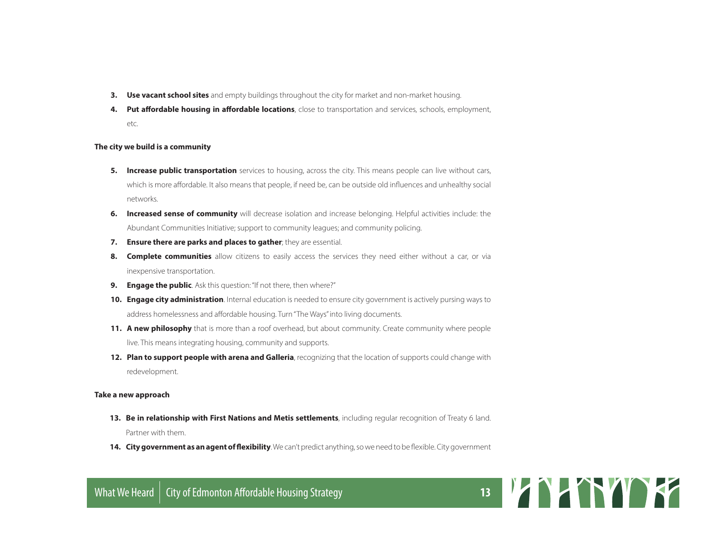- **3. Use vacant school sites** and empty buildings throughout the city for market and non-market housing.
- **4. Put affordable housing in affordable locations**, close to transportation and services, schools, employment, etc.

#### **The city we build is a community**

- **5. Increase public transportation** services to housing, across the city. This means people can live without cars, which is more affordable. It also means that people, if need be, can be outside old influences and unhealthy social networks.
- **6. Increased sense of community** will decrease isolation and increase belonging. Helpful activities include: the Abundant Communities Initiative; support to community leagues; and community policing.
- **7. Ensure there are parks and places to gather**; they are essential.
- **8. Complete communities** allow citizens to easily access the services they need either without a car, or via inexpensive transportation.
- **9. Engage the public**. Ask this question: "If not there, then where?"
- **10. Engage city administration**. Internal education is needed to ensure city government is actively pursing ways to address homelessness and affordable housing. Turn "The Ways" into living documents.
- **11. A new philosophy** that is more than a roof overhead, but about community. Create community where people live. This means integrating housing, community and supports.
- **12. Plan to support people with arena and Galleria**, recognizing that the location of supports could change with redevelopment.

#### **Take a new approach**

- **13. Be in relationship with First Nations and Metis settlements**, including regular recognition of Treaty 6 land. Partner with them.
- **14. City government as an agent of flexibility**. We can't predict anything, so we need to be flexible. City government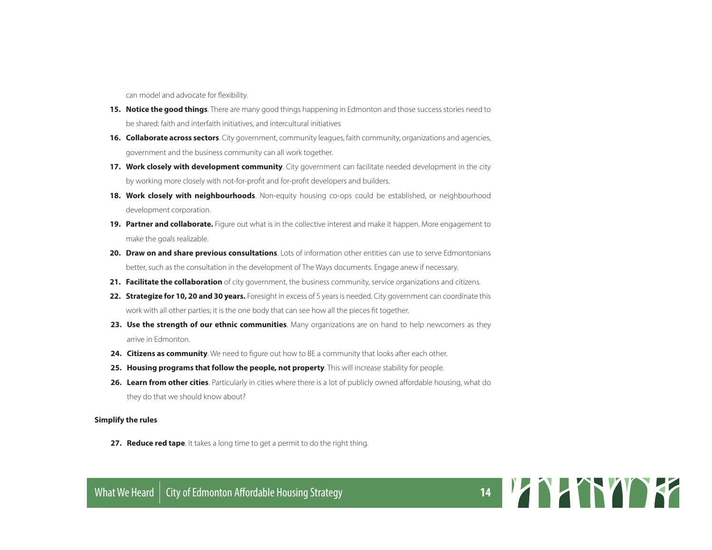can model and advocate for flexibility.

- **15. Notice the good things**. There are many good things happening in Edmonton and those success stories need to be shared: faith and interfaith initiatives, and intercultural initiatives
- **16. Collaborate across sectors**. City government, community leagues, faith community, organizations and agencies, government and the business community can all work together.
- **17. Work closely with development community**. City government can facilitate needed development in the city by working more closely with not-for-profit and for-profit developers and builders.
- **18. Work closely with neighbourhoods**. Non-equity housing co-ops could be established, or neighbourhood development corporation.
- **19. Partner and collaborate.** Figure out what is in the collective interest and make it happen. More engagement to make the goals realizable.
- **20. Draw on and share previous consultations**. Lots of information other entities can use to serve Edmontonians better, such as the consultation in the development of The Ways documents. Engage anew if necessary.
- **21. Facilitate the collaboration** of city government, the business community, service organizations and citizens.
- **22. Strategize for 10, 20 and 30 years.** Foresight in excess of 5 years is needed. City government can coordinate this work with all other parties; it is the one body that can see how all the pieces fit together.
- 23. Use the strength of our ethnic communities. Many organizations are on hand to help newcomers as they arrive in Edmonton.
- **24. Citizens as community**. We need to figure out how to BE a community that looks after each other.
- **25. Housing programs that follow the people, not property**. This will increase stability for people.
- **26. Learn from other cities**. Particularly in cities where there is a lot of publicly owned affordable housing, what do they do that we should know about?

#### **Simplify the rules**

**27. Reduce red tape**. It takes a long time to get a permit to do the right thing.

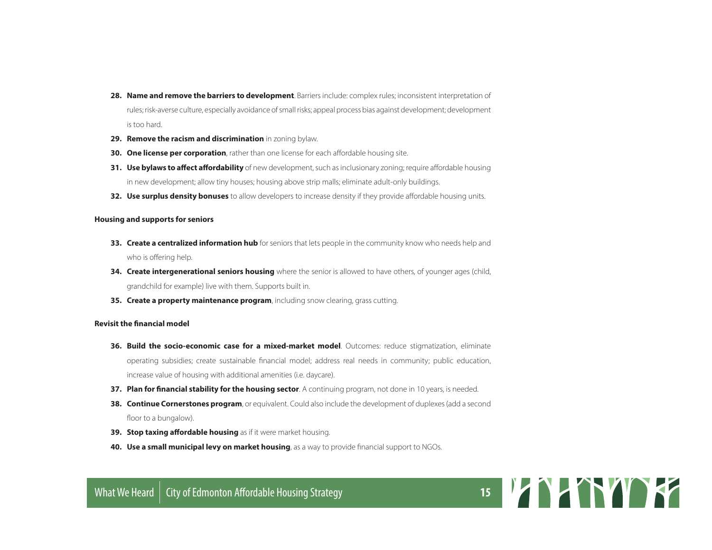- **28. Name and remove the barriers to development**. Barriers include: complex rules; inconsistent interpretation of rules; risk-averse culture, especially avoidance of small risks; appeal process bias against development; development is too hard.
- **29. Remove the racism and discrimination** in zoning bylaw.
- **30. One license per corporation**, rather than one license for each affordable housing site.
- **31. Use bylaws to affect affordability** of new development, such as inclusionary zoning; require affordable housing in new development; allow tiny houses; housing above strip malls; eliminate adult-only buildings.
- **32. Use surplus density bonuses** to allow developers to increase density if they provide affordable housing units.

#### **Housing and supports for seniors**

- **33. Create a centralized information hub** for seniors that lets people in the community know who needs help and who is offering help.
- **34. Create intergenerational seniors housing** where the senior is allowed to have others, of younger ages (child, grandchild for example) live with them. Supports built in.
- **35. Create a property maintenance program**, including snow clearing, grass cutting.

#### **Revisit the financial model**

- **36. Build the socio-economic case for a mixed-market model**. Outcomes: reduce stigmatization, eliminate operating subsidies; create sustainable financial model; address real needs in community; public education, increase value of housing with additional amenities (i.e. daycare).
- **37. Plan for financial stability for the housing sector**. A continuing program, not done in 10 years, is needed.
- **38. Continue Cornerstones program**, or equivalent. Could also include the development of duplexes (add a second floor to a bungalow).
- **39. Stop taxing affordable housing** as if it were market housing.
- **40. Use a small municipal levy on market housing**, as a way to provide financial support to NGOs.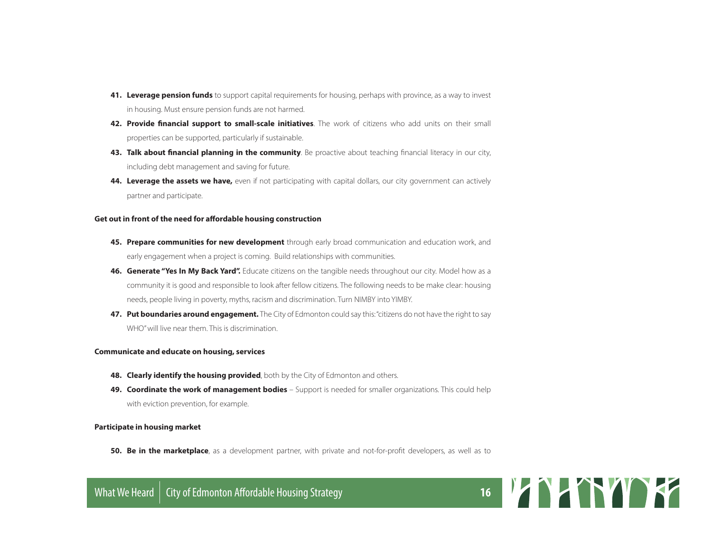- **41. Leverage pension funds** to support capital requirements for housing, perhaps with province, as a way to invest in housing. Must ensure pension funds are not harmed.
- **42. Provide financial support to small-scale initiatives**. The work of citizens who add units on their small properties can be supported, particularly if sustainable.
- **43. Talk about financial planning in the community**. Be proactive about teaching financial literacy in our city, including debt management and saving for future.
- **44. Leverage the assets we have,** even if not participating with capital dollars, our city government can actively partner and participate.

#### **Get out in front of the need for affordable housing construction**

- **45. Prepare communities for new development** through early broad communication and education work, and early engagement when a project is coming. Build relationships with communities.
- **46. Generate "Yes In My Back Yard".** Educate citizens on the tangible needs throughout our city. Model how as a community it is good and responsible to look after fellow citizens. The following needs to be make clear: housing needs, people living in poverty, myths, racism and discrimination. Turn NIMBY into YIMBY.
- **47. Put boundaries around engagement.** The City of Edmonton could say this: "citizens do not have the right to say WHO" will live near them. This is discrimination.

#### **Communicate and educate on housing, services**

- **48. Clearly identify the housing provided**, both by the City of Edmonton and others.
- **49. Coordinate the work of management bodies**  Support is needed for smaller organizations. This could help with eviction prevention, for example.

#### **Participate in housing market**

**50. Be in the marketplace**, as a development partner, with private and not-for-profit developers, as well as to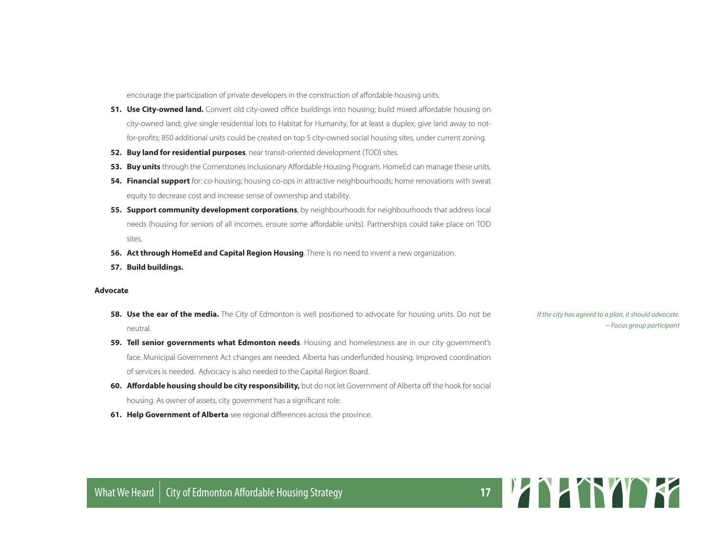encourage the participation of private developers in the construction of affordable housing units.

- **51. Use City-owned land.** Convert old city-owed office buildings into housing; build mixed affordable housing on city-owned land; give single residential lots to Habitat for Humanity, for at least a duplex; give land away to notfor-profits; 850 additional units could be created on top 5 city-owned social housing sites, under current zoning.
- **52. Buy land for residential purposes**, near transit-oriented development (TOD) sites.
- **53. Buy units** through the Cornerstones Inclusionary Affordable Housing Program. HomeEd can manage these units.
- **54. Financial support** for: co-housing; housing co-ops in attractive neighbourhoods; home renovations with sweat equity to decrease cost and increase sense of ownership and stability.
- **55. Support community development corporations**, by neighbourhoods for neighbourhoods that address local needs (housing for seniors of all incomes, ensure some affordable units). Partnerships could take place on TOD sites.
- **56. Act through HomeEd and Capital Region Housing**. There is no need to invent a new organization.
- **57. Build buildings.**

#### **Advocate**

- **58. Use the ear of the media.** The City of Edmonton is well positioned to advocate for housing units. Do not be neutral.
- **59. Tell senior governments what Edmonton needs**. Housing and homelessness are in our city government's face. Municipal Government Act changes are needed. Alberta has underfunded housing. Improved coordination of services is needed. Advocacy is also needed to the Capital Region Board.
- **60. Affordable housing should be city responsibility,** but do not let Government of Alberta off the hook for social housing. As owner of assets, city government has a significant role.
- **61. Help Government of Alberta** see regional differences across the province.

*If the city has agreed to a plan, it should advocate. ~ Focus group participant*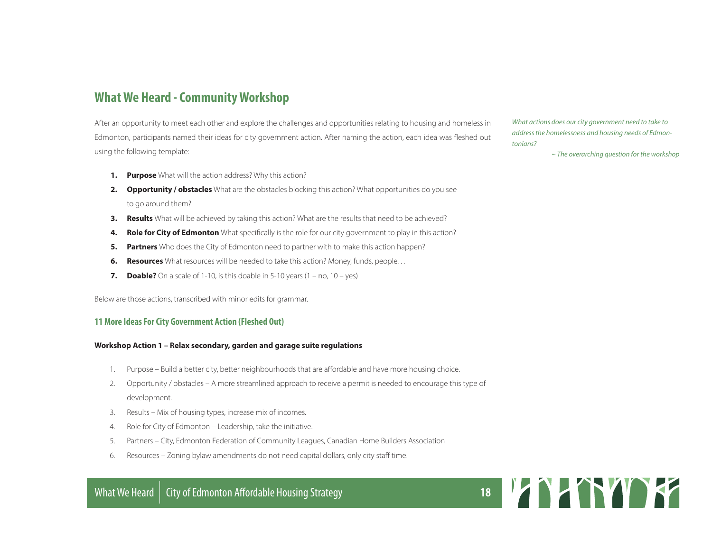## **What We Heard - Community Workshop**

After an opportunity to meet each other and explore the challenges and opportunities relating to housing and homeless in Edmonton, participants named their ideas for city government action. After naming the action, each idea was fleshed out using the following template:

- **1. Purpose** What will the action address? Why this action?
- **2. Opportunity / obstacles** What are the obstacles blocking this action? What opportunities do you see to go around them?
- **3. Results** What will be achieved by taking this action? What are the results that need to be achieved?
- **4. Role for City of Edmonton** What specifically is the role for our city government to play in this action?
- **5. Partners** Who does the City of Edmonton need to partner with to make this action happen?
- **6. Resources** What resources will be needed to take this action? Money, funds, people...
- **7. Doable?** On a scale of 1-10, is this doable in 5-10 years  $(1 no, 10 yes)$

Below are those actions, transcribed with minor edits for grammar.

#### **11 More Ideas For City Government Action (Fleshed Out)**

#### **Workshop Action 1 – Relax secondary, garden and garage suite regulations**

- 1. Purpose Build a better city, better neighbourhoods that are affordable and have more housing choice.
- 2. Opportunity / obstacles A more streamlined approach to receive a permit is needed to encourage this type of development.
- 3. Results Mix of housing types, increase mix of incomes.
- 4. Role for City of Edmonton Leadership, take the initiative.
- 5. Partners City, Edmonton Federation of Community Leagues, Canadian Home Builders Association
- 6. Resources Zoning bylaw amendments do not need capital dollars, only city staff time.

*What actions does our city government need to take to address the homelessness and housing needs of Edmontonians?* 

*~ The overarching question for the workshop*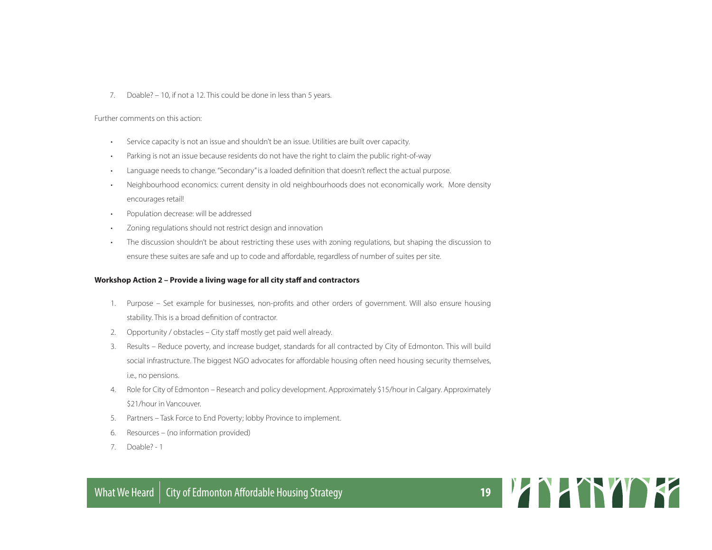7. Doable? – 10, if not a 12. This could be done in less than 5 years.

Further comments on this action:

- Service capacity is not an issue and shouldn't be an issue. Utilities are built over capacity.
- Parking is not an issue because residents do not have the right to claim the public right-of-way
- Language needs to change. "Secondary" is a loaded definition that doesn't reflect the actual purpose.
- Neighbourhood economics: current density in old neighbourhoods does not economically work. More density encourages retail!
- Population decrease: will be addressed
- Zoning regulations should not restrict design and innovation
- The discussion shouldn't be about restricting these uses with zoning regulations, but shaping the discussion to ensure these suites are safe and up to code and affordable, regardless of number of suites per site.

#### **Workshop Action 2 – Provide a living wage for all city staff and contractors**

- 1. Purpose Set example for businesses, non-profits and other orders of government. Will also ensure housing stability. This is a broad definition of contractor.
- 2. Opportunity / obstacles City staff mostly get paid well already.
- 3. Results Reduce poverty, and increase budget, standards for all contracted by City of Edmonton. This will build social infrastructure. The biggest NGO advocates for affordable housing often need housing security themselves, i.e., no pensions.
- 4. Role for City of Edmonton Research and policy development. Approximately \$15/hour in Calgary. Approximately \$21/hour in Vancouver.
- 5. Partners Task Force to End Poverty; lobby Province to implement.
- 6. Resources (no information provided)
- 7. Doable? 1

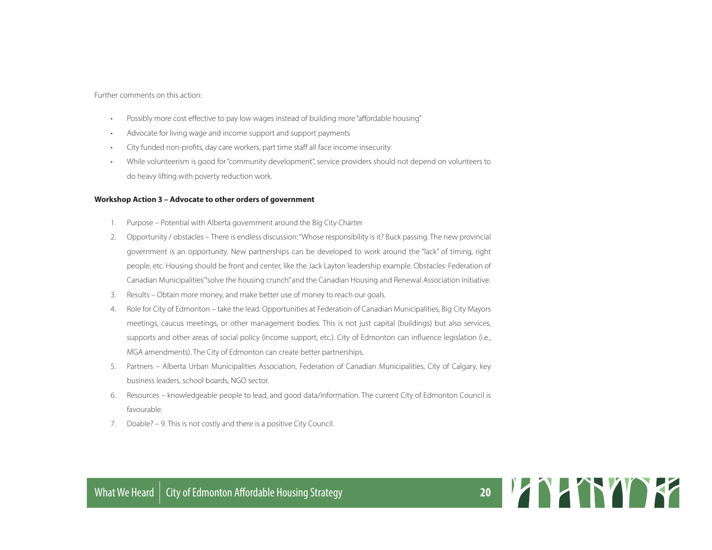Further comments on this action:

- Possibly more cost effective to pay low wages instead of building more "affordable housing"
- Advocate for living wage and income support and support payments
- City funded non-profits, day care workers, part time staff all face income insecurity.
- While volunteerism is good for "community development", service providers should not depend on volunteers to do heavy lifting with poverty reduction work.

#### **Workshop Action 3 – Advocate to other orders of government**

- 1. Purpose Potential with Alberta government around the Big City Charter
- 2. Opportunity / obstacles There is endless discussion: "Whose responsibility is it? Buck passing. The new provincial government is an opportunity. New partnerships can be developed to work around the "lack" of timing, right people, etc. Housing should be front and center, like the Jack Layton leadership example. Obstacles: Federation of Canadian Municipalities' "solve the housing crunch" and the Canadian Housing and Renewal Association initiative.
- 3. Results Obtain more money, and make better use of money to reach our goals.
- 4. Role for City of Edmonton take the lead. Opportunities at Federation of Canadian Municipalities, Big City Mayors meetings, caucus meetings, or other management bodies. This is not just capital (buildings) but also services, supports and other areas of social policy (income support, etc.). City of Edmonton can influence legislation (i.e., MGA amendments). The City of Edmonton can create better partnerships.
- 5. Partners Alberta Urban Municipalities Association, Federation of Canadian Municipalities, City of Calgary, key business leaders, school boards, NGO sector.
- 6. Resources knowledgeable people to lead, and good data/information. The current City of Edmonton Council is favourable.
- 7. Doable? 9. This is not costly and there is a positive City Council.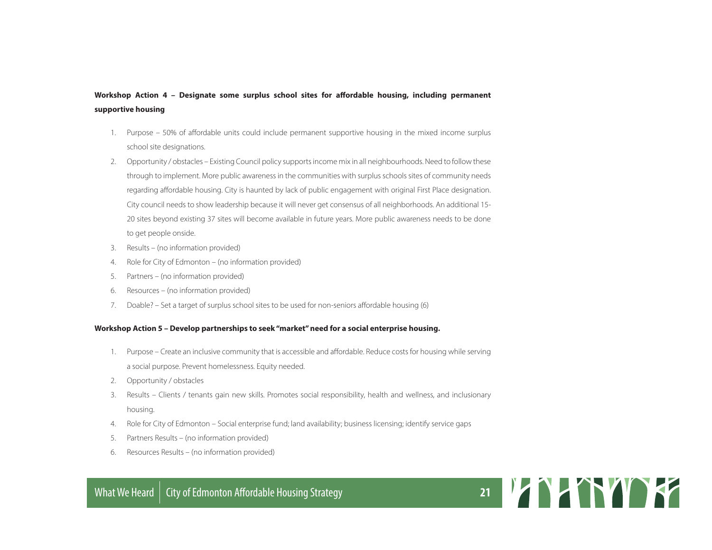#### **Workshop Action 4 – Designate some surplus school sites for affordable housing, including permanent supportive housing**

- 1. Purpose 50% of affordable units could include permanent supportive housing in the mixed income surplus school site designations.
- 2. Opportunity / obstacles Existing Council policy supports income mix in all neighbourhoods. Need to follow these through to implement. More public awareness in the communities with surplus schools sites of community needs regarding affordable housing. City is haunted by lack of public engagement with original First Place designation. City council needs to show leadership because it will never get consensus of all neighborhoods. An additional 15- 20 sites beyond existing 37 sites will become available in future years. More public awareness needs to be done to get people onside.
- 3. Results (no information provided)
- 4. Role for City of Edmonton (no information provided)
- 5. Partners (no information provided)
- 6. Resources (no information provided)
- 7. Doable? Set a target of surplus school sites to be used for non-seniors affordable housing (6)

#### **Workshop Action 5 – Develop partnerships to seek "market" need for a social enterprise housing.**

- 1. Purpose Create an inclusive community that is accessible and affordable. Reduce costs for housing while serving a social purpose. Prevent homelessness. Equity needed.
- 2. Opportunity / obstacles
- 3. Results Clients / tenants gain new skills. Promotes social responsibility, health and wellness, and inclusionary housing.
- 4. Role for City of Edmonton Social enterprise fund; land availability; business licensing; identify service gaps
- 5. Partners Results (no information provided)
- 6. Resources Results (no information provided)

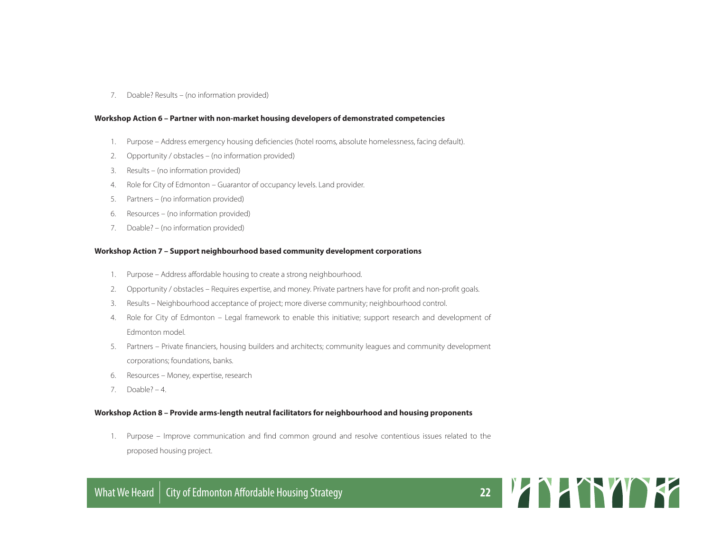7. Doable? Results – (no information provided)

#### **Workshop Action 6 – Partner with non-market housing developers of demonstrated competencies**

- 1. Purpose Address emergency housing deficiencies (hotel rooms, absolute homelessness, facing default).
- 2. Opportunity / obstacles (no information provided)
- 3. Results (no information provided)
- 4. Role for City of Edmonton Guarantor of occupancy levels. Land provider.
- 5. Partners (no information provided)
- 6. Resources (no information provided)
- 7. Doable? (no information provided)

#### **Workshop Action 7 – Support neighbourhood based community development corporations**

- 1. Purpose Address affordable housing to create a strong neighbourhood.
- 2. Opportunity / obstacles Requires expertise, and money. Private partners have for profit and non-profit goals.
- 3. Results Neighbourhood acceptance of project; more diverse community; neighbourhood control.
- 4. Role for City of Edmonton Legal framework to enable this initiative; support research and development of Edmonton model.
- 5. Partners Private financiers, housing builders and architects; community leagues and community development corporations; foundations, banks.
- 6. Resources Money, expertise, research
- 7. Doable? 4.

#### **Workshop Action 8 – Provide arms-length neutral facilitators for neighbourhood and housing proponents**

1. Purpose – Improve communication and find common ground and resolve contentious issues related to the proposed housing project.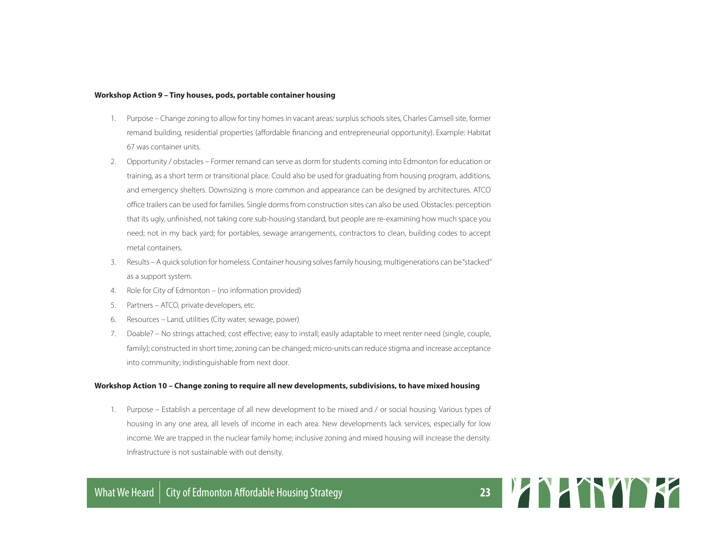#### **Workshop Action 9 – Tiny houses, pods, portable container housing**

- 1. Purpose Change zoning to allow for tiny homes in vacant areas: surplus schools sites, Charles Camsell site, former remand building, residential properties (affordable financing and entrepreneurial opportunity). Example: Habitat 67 was container units.
- 2. Opportunity / obstacles Former remand can serve as dorm for students coming into Edmonton for education or training, as a short term or transitional place. Could also be used for graduating from housing program, additions, and emergency shelters. Downsizing is more common and appearance can be designed by architectures. ATCO office trailers can be used for families. Single dorms from construction sites can also be used. Obstacles: perception that its ugly, unfinished, not taking core sub-housing standard, but people are re-examining how much space you need; not in my back yard; for portables, sewage arrangements, contractors to clean, building codes to accept metal containers.
- 3. Results A quick solution for homeless. Container housing solves family housing; multigenerations can be "stacked" as a support system.
- 4. Role for City of Edmonton (no information provided)
- 5. Partners ATCO, private developers, etc.
- 6. Resources Land, utilities (City water, sewage, power)
- 7. Doable? No strings attached; cost effective; easy to install; easily adaptable to meet renter need (single, couple, family); constructed in short time; zoning can be changed; micro-units can reduce stigma and increase acceptance into community; indistinguishable from next door.

#### **Workshop Action 10 – Change zoning to require all new developments, subdivisions, to have mixed housing**

1. Purpose – Establish a percentage of all new development to be mixed and / or social housing. Various types of housing in any one area, all levels of income in each area. New developments lack services, especially for low income. We are trapped in the nuclear family home; inclusive zoning and mixed housing will increase the density. Infrastructure is not sustainable with out density.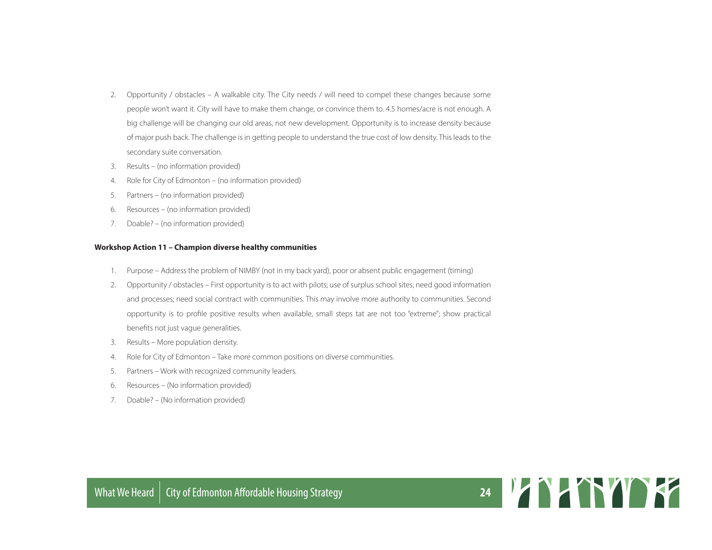- 2. Opportunity / obstacles A walkable city. The City needs / will need to compel these changes because some people won't want it. City will have to make them change, or convince them to. 4.5 homes/acre is not enough. A big challenge will be changing our old areas, not new development. Opportunity is to increase density because of major push back. The challenge is in getting people to understand the true cost of low density. This leads to the secondary suite conversation.
- 3. Results (no information provided)
- 4. Role for City of Edmonton (no information provided)
- 5. Partners (no information provided)
- 6. Resources (no information provided)
- 7. Doable? (no information provided)

#### **Workshop Action 11 – Champion diverse healthy communities**

- 1. Purpose Address the problem of NIMBY (not in my back yard), poor or absent public engagement (timing)
- 2. Opportunity / obstacles First opportunity is to act with pilots; use of surplus school sites; need good information and processes; need social contract with communities. This may involve more authority to communities. Second opportunity is to profile positive results when available, small steps tat are not too "extreme"; show practical benefits not just vague generalities.
- 3. Results More population density.
- 4. Role for City of Edmonton Take more common positions on diverse communities.
- 5. Partners Work with recognized community leaders.
- 6. Resources (No information provided)
- 7. Doable? (No information provided)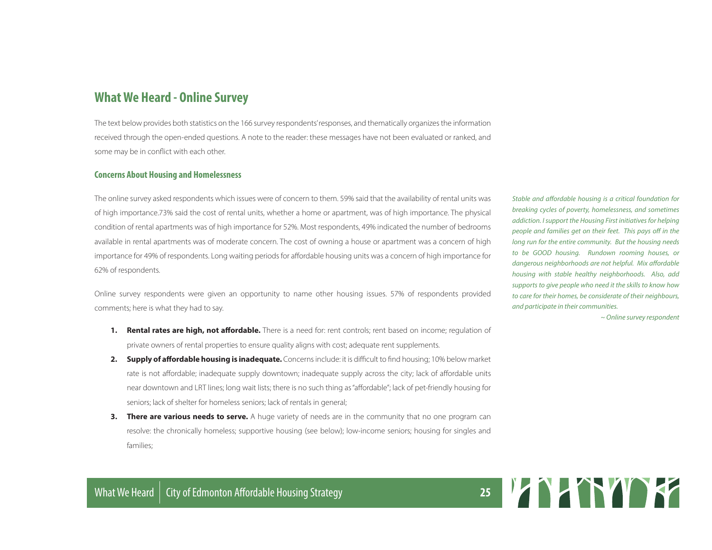### **What We Heard - Online Survey**

The text below provides both statistics on the 166 survey respondents' responses, and thematically organizes the information received through the open-ended questions. A note to the reader: these messages have not been evaluated or ranked, and some may be in conflict with each other.

#### **Concerns About Housing and Homelessness**

The online survey asked respondents which issues were of concern to them. 59% said that the availability of rental units was of high importance.73% said the cost of rental units, whether a home or apartment, was of high importance. The physical condition of rental apartments was of high importance for 52%. Most respondents, 49% indicated the number of bedrooms available in rental apartments was of moderate concern. The cost of owning a house or apartment was a concern of high importance for 49% of respondents. Long waiting periods for affordable housing units was a concern of high importance for 62% of respondents.

Online survey respondents were given an opportunity to name other housing issues. 57% of respondents provided comments; here is what they had to say.

- **1. Rental rates are high, not affordable.** There is a need for: rent controls; rent based on income; regulation of private owners of rental properties to ensure quality aligns with cost; adequate rent supplements.
- **2. Supply of affordable housing is inadequate.** Concerns include: it is difficult to find housing; 10% below market rate is not affordable; inadequate supply downtown; inadequate supply across the city; lack of affordable units near downtown and LRT lines; long wait lists; there is no such thing as "affordable"; lack of pet-friendly housing for seniors; lack of shelter for homeless seniors; lack of rentals in general;
- **3. There are various needs to serve.** A huge variety of needs are in the community that no one program can resolve: the chronically homeless; supportive housing (see below); low-income seniors; housing for singles and families;

*Stable and affordable housing is a critical foundation for breaking cycles of poverty, homelessness, and sometimes addiction. I support the Housing First initiatives for helping people and families get on their feet. This pays off in the long run for the entire community. But the housing needs to be GOOD housing. Rundown rooming houses, or dangerous neighborhoods are not helpful. Mix affordable housing with stable healthy neighborhoods. Also, add supports to give people who need it the skills to know how to care for their homes, be considerate of their neighbours, and participate in their communities.*

*~ Online survey respondent*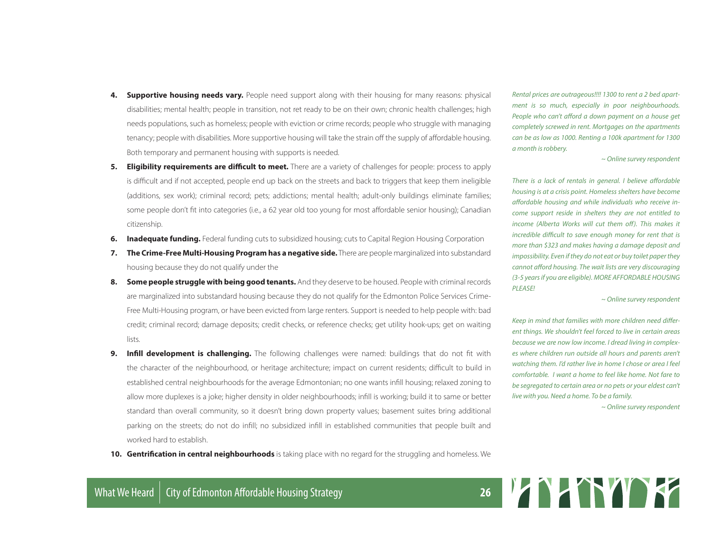- **4. Supportive housing needs vary.** People need support along with their housing for many reasons: physical disabilities; mental health; people in transition, not ret ready to be on their own; chronic health challenges; high needs populations, such as homeless; people with eviction or crime records; people who struggle with managing tenancy; people with disabilities. More supportive housing will take the strain off the supply of affordable housing. Both temporary and permanent housing with supports is needed.
- **5. Eligibility requirements are difficult to meet.** There are a variety of challenges for people: process to apply is difficult and if not accepted, people end up back on the streets and back to triggers that keep them ineligible (additions, sex work); criminal record; pets; addictions; mental health; adult-only buildings eliminate families; some people don't fit into categories (i.e., a 62 year old too young for most affordable senior housing); Canadian citizenship.
- **6. Inadequate funding.** Federal funding cuts to subsidized housing; cuts to Capital Region Housing Corporation
- **7. The Crime-Free Multi-Housing Program has a negative side.** There are people marginalized into substandard housing because they do not qualify under the
- **8. Some people struggle with being good tenants.** And they deserve to be housed. People with criminal records are marginalized into substandard housing because they do not qualify for the Edmonton Police Services Crime-Free Multi-Housing program, or have been evicted from large renters. Support is needed to help people with: bad credit; criminal record; damage deposits; credit checks, or reference checks; get utility hook-ups; get on waiting lists.
- **9. Infill development is challenging.** The following challenges were named: buildings that do not fit with the character of the neighbourhood, or heritage architecture; impact on current residents; difficult to build in established central neighbourhoods for the average Edmontonian; no one wants infill housing; relaxed zoning to allow more duplexes is a joke; higher density in older neighbourhoods; infill is working; build it to same or better standard than overall community, so it doesn't bring down property values; basement suites bring additional parking on the streets; do not do infill; no subsidized infill in established communities that people built and worked hard to establish.
- **10. Gentrification in central neighbourhoods** is taking place with no regard for the struggling and homeless. We

*Rental prices are outrageous!!!! 1300 to rent a 2 bed apartment is so much, especially in poor neighbourhoods. People who can't afford a down payment on a house get completely screwed in rent. Mortgages on the apartments can be as low as 1000. Renting a 100k apartment for 1300 a month is robbery.*

*~ Online survey respondent*

*There is a lack of rentals in general. I believe affordable housing is at a crisis point. Homeless shelters have become affordable housing and while individuals who receive income support reside in shelters they are not entitled to income (Alberta Works will cut them off). This makes it incredible difficult to save enough money for rent that is more than \$323 and makes having a damage deposit and impossibility. Even if they do not eat or buy toilet paper they cannot afford housing. The wait lists are very discouraging (3-5 years if you are eligible). MORE AFFORDABLE HOUSING PLEASE!*

*~ Online survey respondent*

*Keep in mind that families with more children need different things. We shouldn't feel forced to live in certain areas because we are now low income. I dread living in complexes where children run outside all hours and parents aren't watching them. I'd rather live in home I chose or area I feel comfortable. I want a home to feel like home. Not fare to be segregated to certain area or no pets or your eldest can't live with you. Need a home. To be a family.*

*~ Online survey respondent*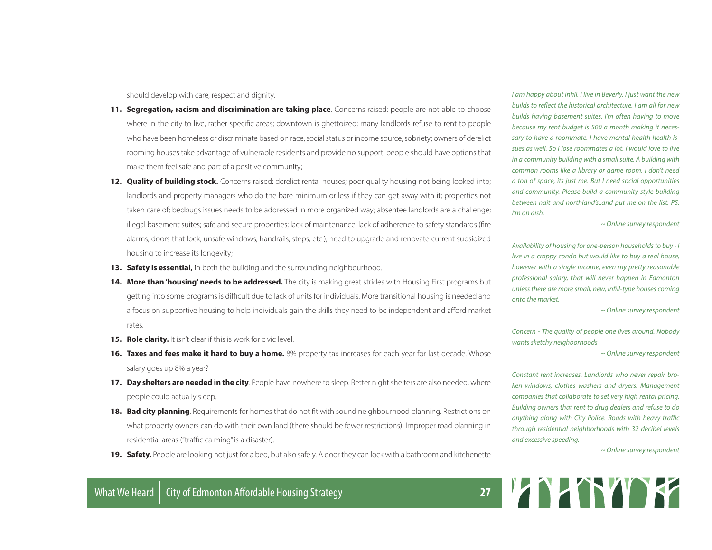should develop with care, respect and dignity.

- **11. Segregation, racism and discrimination are taking place**. Concerns raised: people are not able to choose where in the city to live, rather specific areas; downtown is ghettoized; many landlords refuse to rent to people who have been homeless or discriminate based on race, social status or income source, sobriety; owners of derelict rooming houses take advantage of vulnerable residents and provide no support; people should have options that make them feel safe and part of a positive community;
- **12. Quality of building stock.** Concerns raised: derelict rental houses; poor quality housing not being looked into; landlords and property managers who do the bare minimum or less if they can get away with it; properties not taken care of; bedbugs issues needs to be addressed in more organized way; absentee landlords are a challenge; illegal basement suites; safe and secure properties; lack of maintenance; lack of adherence to safety standards (fire alarms, doors that lock, unsafe windows, handrails, steps, etc.); need to upgrade and renovate current subsidized housing to increase its longevity;
- **13. Safety is essential,** in both the building and the surrounding neighbourhood.
- **14. More than 'housing' needs to be addressed.** The city is making great strides with Housing First programs but getting into some programs is difficult due to lack of units for individuals. More transitional housing is needed and a focus on supportive housing to help individuals gain the skills they need to be independent and afford market rates.
- **15. Role clarity.** It isn't clear if this is work for civic level.
- **16. Taxes and fees make it hard to buy a home.** 8% property tax increases for each year for last decade. Whose salary goes up 8% a year?
- **17. Day shelters are needed in the city**. People have nowhere to sleep. Better night shelters are also needed, where people could actually sleep.
- **18. Bad city planning**. Requirements for homes that do not fit with sound neighbourhood planning. Restrictions on what property owners can do with their own land (there should be fewer restrictions). Improper road planning in residential areas ("traffic calming" is a disaster).
- **19. Safety.** People are looking not just for a bed, but also safely. A door they can lock with a bathroom and kitchenette

*I am happy about infill. I live in Beverly. I just want the new builds to reflect the historical architecture. I am all for new builds having basement suites. I'm often having to move because my rent budget is 500 a month making it necessary to have a roommate. I have mental health health issues as well. So I lose roommates a lot. I would love to live in a community building with a small suite. A building with common rooms like a library or game room. I don't need a ton of space, its just me. But I need social opportunities and community. Please build a community style building between nait and northland's..and put me on the list. PS. I'm on aish.*

*~ Online survey respondent*

*Availability of housing for one-person households to buy - I live in a crappy condo but would like to buy a real house, however with a single income, even my pretty reasonable professional salary, that will never happen in Edmonton unless there are more small, new, infill-type houses coming onto the market.*

*~ Online survey respondent*

*Concern - The quality of people one lives around. Nobody wants sketchy neighborhoods*

*~ Online survey respondent*

*Constant rent increases. Landlords who never repair broken windows, clothes washers and dryers. Management companies that collaborate to set very high rental pricing. Building owners that rent to drug dealers and refuse to do anything along with City Police. Roads with heavy traffic through residential neighborhoods with 32 decibel levels and excessive speeding.*

*~ Online survey respondent*

# What We Heard | City of Edmonton Affordable Housing Strategy **27** 2012 12:20 PM 2012 12:20 PM 2012 12:20 PM 2012 12:20 PM 2012 12:20 PM 2012 12:20 PM 2012 12:20 PM 2012 12:20 PM 2012 12:20 PM 2012 12:20 PM 2012 12:20 PM 20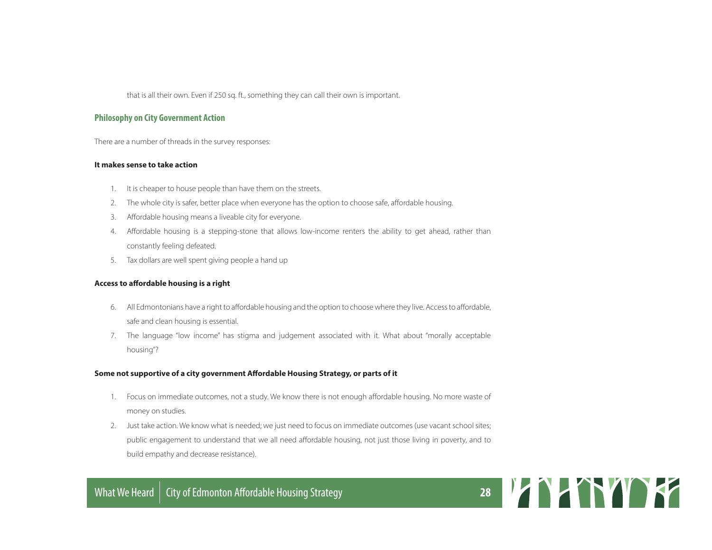that is all their own. Even if 250 sq. ft., something they can call their own is important.

#### **Philosophy on City Government Action**

There are a number of threads in the survey responses:

#### **It makes sense to take action**

- 1. It is cheaper to house people than have them on the streets.
- 2. The whole city is safer, better place when everyone has the option to choose safe, affordable housing.
- 3. Affordable housing means a liveable city for everyone.
- 4. Affordable housing is a stepping-stone that allows low-income renters the ability to get ahead, rather than constantly feeling defeated.
- 5. Tax dollars are well spent giving people a hand up

#### **Access to affordable housing is a right**

- 6. All Edmontonians have a right to affordable housing and the option to choose where they live. Access to affordable, safe and clean housing is essential.
- 7. The language "low income" has stigma and judgement associated with it. What about "morally acceptable housing"?

#### **Some not supportive of a city government Affordable Housing Strategy, or parts of it**

- 1. Focus on immediate outcomes, not a study. We know there is not enough affordable housing. No more waste of money on studies.
- 2. Just take action. We know what is needed; we just need to focus on immediate outcomes (use vacant school sites; public engagement to understand that we all need affordable housing, not just those living in poverty, and to build empathy and decrease resistance).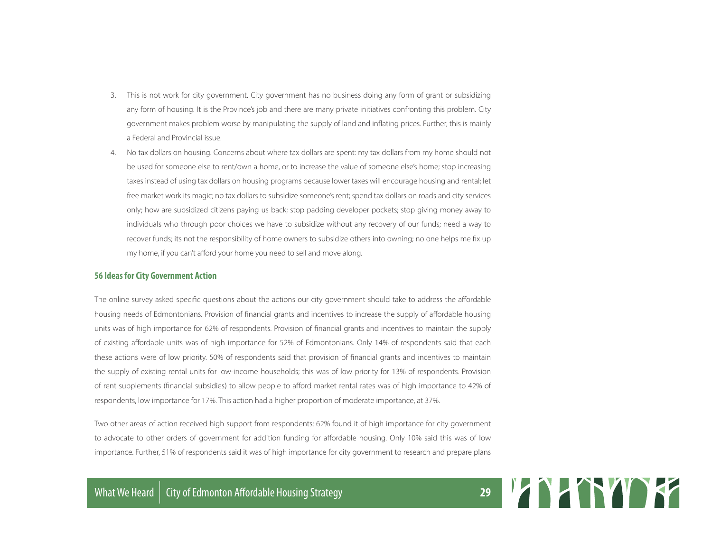- 3. This is not work for city government. City government has no business doing any form of grant or subsidizing any form of housing. It is the Province's job and there are many private initiatives confronting this problem. City government makes problem worse by manipulating the supply of land and inflating prices. Further, this is mainly a Federal and Provincial issue.
- 4. No tax dollars on housing. Concerns about where tax dollars are spent: my tax dollars from my home should not be used for someone else to rent/own a home, or to increase the value of someone else's home; stop increasing taxes instead of using tax dollars on housing programs because lower taxes will encourage housing and rental; let free market work its magic; no tax dollars to subsidize someone's rent; spend tax dollars on roads and city services only; how are subsidized citizens paying us back; stop padding developer pockets; stop giving money away to individuals who through poor choices we have to subsidize without any recovery of our funds; need a way to recover funds; its not the responsibility of home owners to subsidize others into owning; no one helps me fix up my home, if you can't afford your home you need to sell and move along.

#### **56 Ideas for City Government Action**

The online survey asked specific questions about the actions our city government should take to address the affordable housing needs of Edmontonians. Provision of financial grants and incentives to increase the supply of affordable housing units was of high importance for 62% of respondents. Provision of financial grants and incentives to maintain the supply of existing affordable units was of high importance for 52% of Edmontonians. Only 14% of respondents said that each these actions were of low priority. 50% of respondents said that provision of financial grants and incentives to maintain the supply of existing rental units for low-income households; this was of low priority for 13% of respondents. Provision of rent supplements (financial subsidies) to allow people to afford market rental rates was of high importance to 42% of respondents, low importance for 17%. This action had a higher proportion of moderate importance, at 37%.

Two other areas of action received high support from respondents: 62% found it of high importance for city government to advocate to other orders of government for addition funding for affordable housing. Only 10% said this was of low importance. Further, 51% of respondents said it was of high importance for city government to research and prepare plans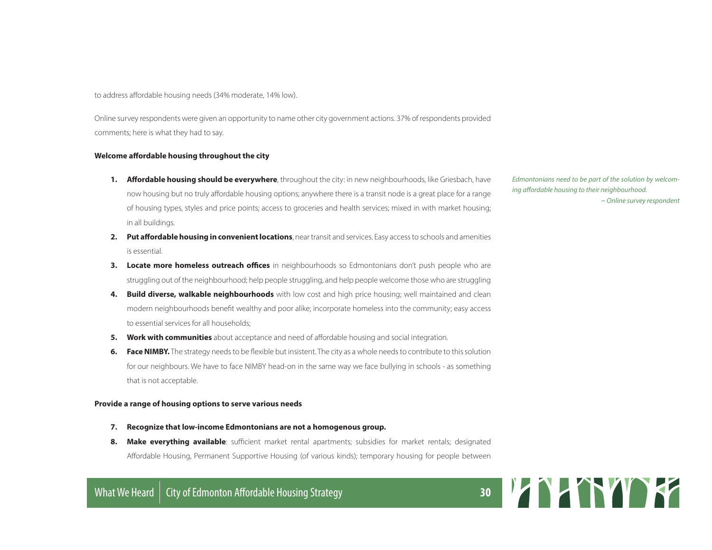to address affordable housing needs (34% moderate, 14% low).

Online survey respondents were given an opportunity to name other city government actions. 37% of respondents provided comments; here is what they had to say.

#### **Welcome affordable housing throughout the city**

- **1. Affordable housing should be everywhere**, throughout the city: in new neighbourhoods, like Griesbach, have now housing but no truly affordable housing options; anywhere there is a transit node is a great place for a range of housing types, styles and price points; access to groceries and health services; mixed in with market housing; in all buildings.
- **2. Put affordable housing in convenient locations**, near transit and services. Easy access to schools and amenities is essential.
- **3. Locate more homeless outreach offices** in neighbourhoods so Edmontonians don't push people who are struggling out of the neighbourhood; help people struggling, and help people welcome those who are struggling
- **4. Build diverse, walkable neighbourhoods** with low cost and high price housing; well maintained and clean modern neighbourhoods benefit wealthy and poor alike; incorporate homeless into the community; easy access to essential services for all households;
- **5. Work with communities** about acceptance and need of affordable housing and social integration.
- **6. Face NIMBY.** The strategy needs to be flexible but insistent. The city as a whole needs to contribute to this solution for our neighbours. We have to face NIMBY head-on in the same way we face bullying in schools - as something that is not acceptable.

#### **Provide a range of housing options to serve various needs**

- **7. Recognize that low-income Edmontonians are not a homogenous group.**
- **8. Make everything available**: sufficient market rental apartments; subsidies for market rentals; designated Affordable Housing, Permanent Supportive Housing (of various kinds); temporary housing for people between

*Edmontonians need to be part of the solution by welcoming affordable housing to their neighbourhood. ~ Online survey respondent*

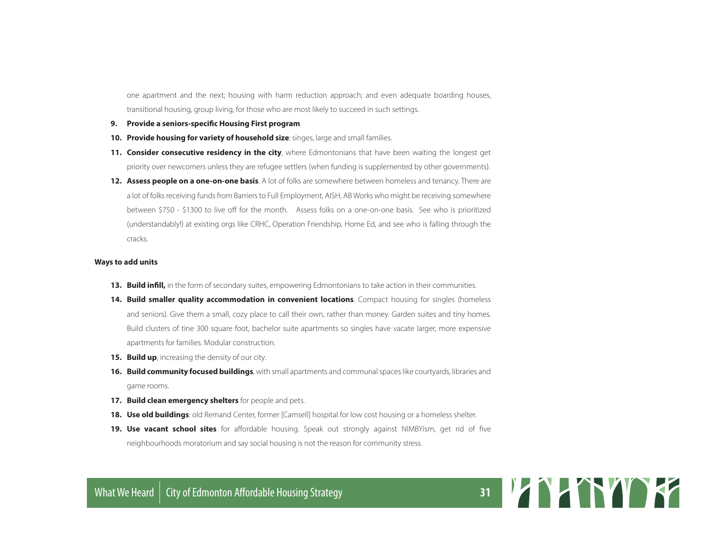one apartment and the next; housing with harm reduction approach; and even adequate boarding houses, transitional housing, group living, for those who are most likely to succeed in such settings.

- **9. Provide a seniors-specific Housing First program**.
- **10. Provide housing for variety of household size**: singes, large and small families.
- **11. Consider consecutive residency in the city**, where Edmontonians that have been waiting the longest get priority over newcomers unless they are refugee settlers (when funding is supplemented by other governments).
- **12. Assess people on a one-on-one basis**. A lot of folks are somewhere between homeless and tenancy. There are a lot of folks receiving funds from Barriers to Full Employment, AISH, AB Works who might be receiving somewhere between \$750 - \$1300 to live off for the month. Assess folks on a one-on-one basis. See who is prioritized (understandably!) at existing orgs like CRHC, Operation Friendship, Home Ed, and see who is falling through the cracks.

#### **Ways to add units**

- **13. Build infill,** in the form of secondary suites, empowering Edmontonians to take action in their communities.
- **14. Build smaller quality accommodation in convenient locations**. Compact housing for singles (homeless and seniors). Give them a small, cozy place to call their own, rather than money. Garden suites and tiny homes. Build clusters of tine 300 square foot, bachelor suite apartments so singles have vacate larger, more expensive apartments for families. Modular construction.
- **15. Build up**, increasing the density of our city.
- **16. Build community focused buildings**, with small apartments and communal spaces like courtyards, libraries and game rooms.
- **17. Build clean emergency shelters** for people and pets.
- **18. Use old buildings**: old Remand Center, former [Camsell] hospital for low cost housing or a homeless shelter.
- **19. Use vacant school sites** for affordable housing. Speak out strongly against NIMBYism, get rid of five neighbourhoods moratorium and say social housing is not the reason for community stress.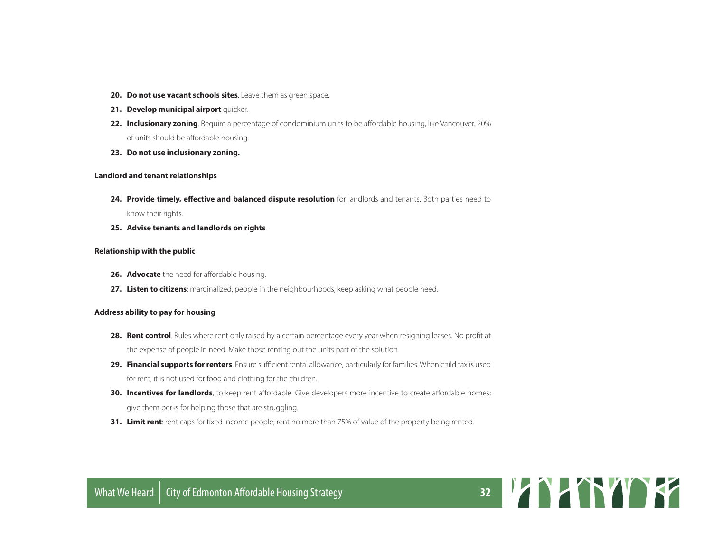- **20. Do not use vacant schools sites**. Leave them as green space.
- **21. Develop municipal airport** quicker.
- **22. Inclusionary zoning**. Require a percentage of condominium units to be affordable housing, like Vancouver. 20% of units should be affordable housing.
- **23. Do not use inclusionary zoning.**

#### **Landlord and tenant relationships**

**24. Provide timely, effective and balanced dispute resolution** for landlords and tenants. Both parties need to

know their rights.

**25. Advise tenants and landlords on rights**.

#### **Relationship with the public**

- **26. Advocate** the need for affordable housing.
- 27. Listen to citizens: marginalized, people in the neighbourhoods, keep asking what people need.

#### **Address ability to pay for housing**

- **28. Rent control**. Rules where rent only raised by a certain percentage every year when resigning leases. No profit at the expense of people in need. Make those renting out the units part of the solution
- **29. Financial supports for renters**. Ensure sufficient rental allowance, particularly for families. When child tax is used for rent, it is not used for food and clothing for the children.
- **30. Incentives for landlords**, to keep rent affordable. Give developers more incentive to create affordable homes; give them perks for helping those that are struggling.
- **31. Limit rent**: rent caps for fixed income people; rent no more than 75% of value of the property being rented.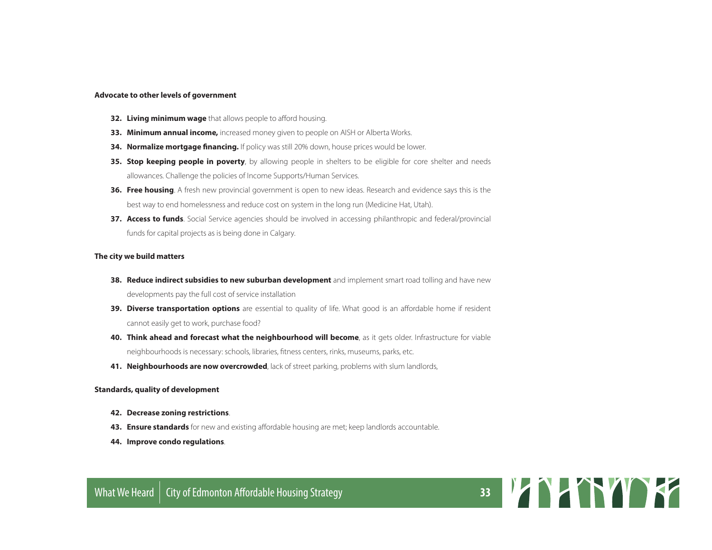#### **Advocate to other levels of government**

- **32. Living minimum wage** that allows people to afford housing.
- **33. Minimum annual income,** increased money given to people on AISH or Alberta Works.
- **34. Normalize mortgage financing.** If policy was still 20% down, house prices would be lower.
- **35. Stop keeping people in poverty**, by allowing people in shelters to be eligible for core shelter and needs allowances. Challenge the policies of Income Supports/Human Services.
- **36. Free housing**. A fresh new provincial government is open to new ideas. Research and evidence says this is the best way to end homelessness and reduce cost on system in the long run (Medicine Hat, Utah).
- **37. Access to funds**. Social Service agencies should be involved in accessing philanthropic and federal/provincial funds for capital projects as is being done in Calgary.

#### **The city we build matters**

- **38. Reduce indirect subsidies to new suburban development** and implement smart road tolling and have new developments pay the full cost of service installation
- **39. Diverse transportation options** are essential to quality of life. What good is an affordable home if resident cannot easily get to work, purchase food?
- **40. Think ahead and forecast what the neighbourhood will become**, as it gets older. Infrastructure for viable neighbourhoods is necessary: schools, libraries, fitness centers, rinks, museums, parks, etc.
- **41. Neighbourhoods are now overcrowded**, lack of street parking, problems with slum landlords,

#### **Standards, quality of development**

- **42. Decrease zoning restrictions**.
- **43. Ensure standards** for new and existing affordable housing are met; keep landlords accountable.
- **44. Improve condo regulations**.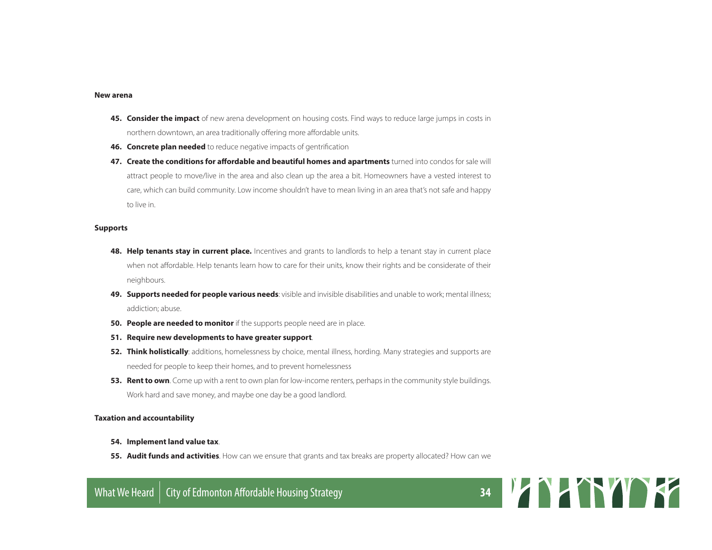#### **New arena**

- **45. Consider the impact** of new arena development on housing costs. Find ways to reduce large jumps in costs in northern downtown, an area traditionally offering more affordable units.
- **46. Concrete plan needed** to reduce negative impacts of gentrification
- **47. Create the conditions for affordable and beautiful homes and apartments** turned into condos for sale will attract people to move/live in the area and also clean up the area a bit. Homeowners have a vested interest to care, which can build community. Low income shouldn't have to mean living in an area that's not safe and happy to live in.

#### **Supports**

- **48. Help tenants stay in current place.** Incentives and grants to landlords to help a tenant stay in current place when not affordable. Help tenants learn how to care for their units, know their rights and be considerate of their neighbours.
- **49. Supports needed for people various needs**: visible and invisible disabilities and unable to work; mental illness; addiction; abuse.
- **50. People are needed to monitor** if the supports people need are in place.
- **51. Require new developments to have greater support**.
- **52. Think holistically**: additions, homelessness by choice, mental illness, hording. Many strategies and supports are needed for people to keep their homes, and to prevent homelessness
- **53. Rent to own**. Come up with a rent to own plan for low-income renters, perhaps in the community style buildings. Work hard and save money, and maybe one day be a good landlord.

#### **Taxation and accountability**

- **54. Implement land value tax**.
- **55. Audit funds and activities**. How can we ensure that grants and tax breaks are property allocated? How can we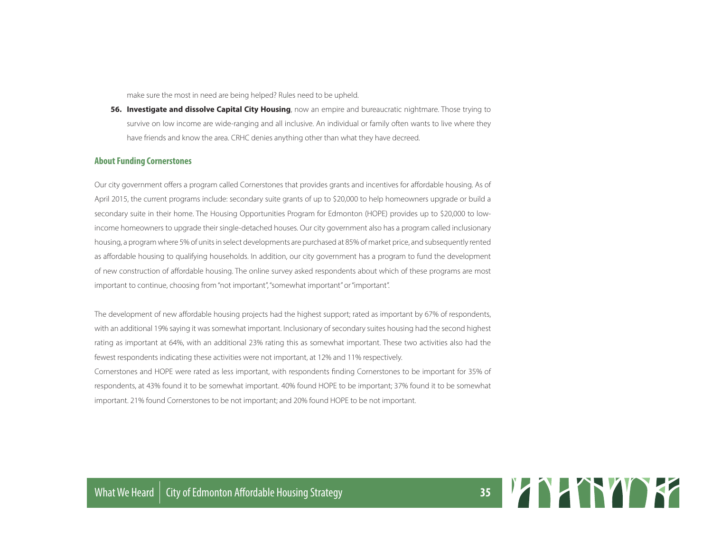make sure the most in need are being helped? Rules need to be upheld.

**56. Investigate and dissolve Capital City Housing**, now an empire and bureaucratic nightmare. Those trying to survive on low income are wide-ranging and all inclusive. An individual or family often wants to live where they have friends and know the area. CRHC denies anything other than what they have decreed.

#### **About Funding Cornerstones**

Our city government offers a program called Cornerstones that provides grants and incentives for affordable housing. As of April 2015, the current programs include: secondary suite grants of up to \$20,000 to help homeowners upgrade or build a secondary suite in their home. The Housing Opportunities Program for Edmonton (HOPE) provides up to \$20,000 to lowincome homeowners to upgrade their single-detached houses. Our city government also has a program called inclusionary housing, a program where 5% of units in select developments are purchased at 85% of market price, and subsequently rented as affordable housing to qualifying households. In addition, our city government has a program to fund the development of new construction of affordable housing. The online survey asked respondents about which of these programs are most important to continue, choosing from "not important", "somewhat important" or "important".

The development of new affordable housing projects had the highest support; rated as important by 67% of respondents, with an additional 19% saying it was somewhat important. Inclusionary of secondary suites housing had the second highest rating as important at 64%, with an additional 23% rating this as somewhat important. These two activities also had the fewest respondents indicating these activities were not important, at 12% and 11% respectively.

Cornerstones and HOPE were rated as less important, with respondents finding Cornerstones to be important for 35% of respondents, at 43% found it to be somewhat important. 40% found HOPE to be important; 37% found it to be somewhat important. 21% found Cornerstones to be not important; and 20% found HOPE to be not important.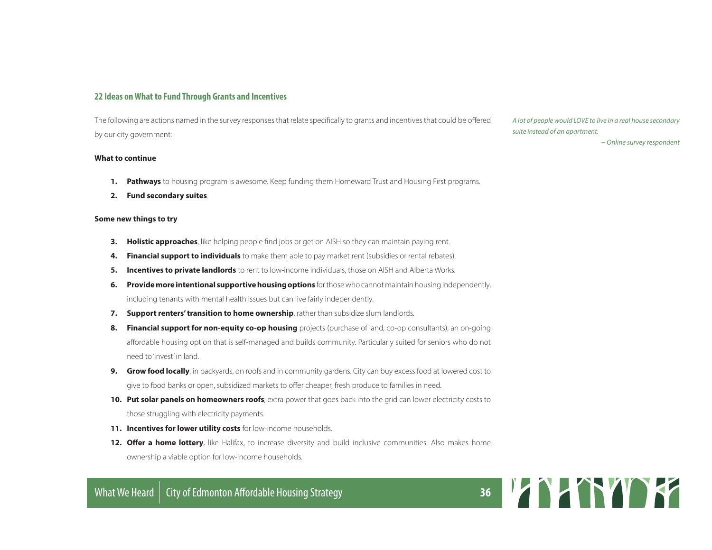#### **22 Ideas on What to Fund Through Grants and Incentives**

The following are actions named in the survey responses that relate specifically to grants and incentives that could be offered by our city government:

#### **What to continue**

- **1. Pathways** to housing program is awesome. Keep funding them Homeward Trust and Housing First programs.
- **2. Fund secondary suites**.

#### **Some new things to try**

- **3. Holistic approaches**, like helping people find jobs or get on AISH so they can maintain paying rent.
- **4. Financial support to individuals** to make them able to pay market rent (subsidies or rental rebates).
- **5. Incentives to private landlords** to rent to low-income individuals, those on AISH and Alberta Works.
- **6. Provide more intentional supportive housing options** for those who cannot maintain housing independently, including tenants with mental health issues but can live fairly independently.
- **7. Support renters' transition to home ownership**, rather than subsidize slum landlords.
- **8. Financial support for non-equity co-op housing** projects (purchase of land, co-op consultants), an on-going affordable housing option that is self-managed and builds community. Particularly suited for seniors who do not need to 'invest' in land.
- **9. Grow food locally**, in backyards, on roofs and in community gardens. City can buy excess food at lowered cost to give to food banks or open, subsidized markets to offer cheaper, fresh produce to families in need.
- **10. Put solar panels on homeowners roofs**; extra power that goes back into the grid can lower electricity costs to those struggling with electricity payments.
- **11. Incentives for lower utility costs** for low-income households.
- **12. Offer a home lottery**, like Halifax, to increase diversity and build inclusive communities. Also makes home ownership a viable option for low-income households.

*A lot of people would LOVE to live in a real house secondary suite instead of an apartment.*

*~ Online survey respondent*